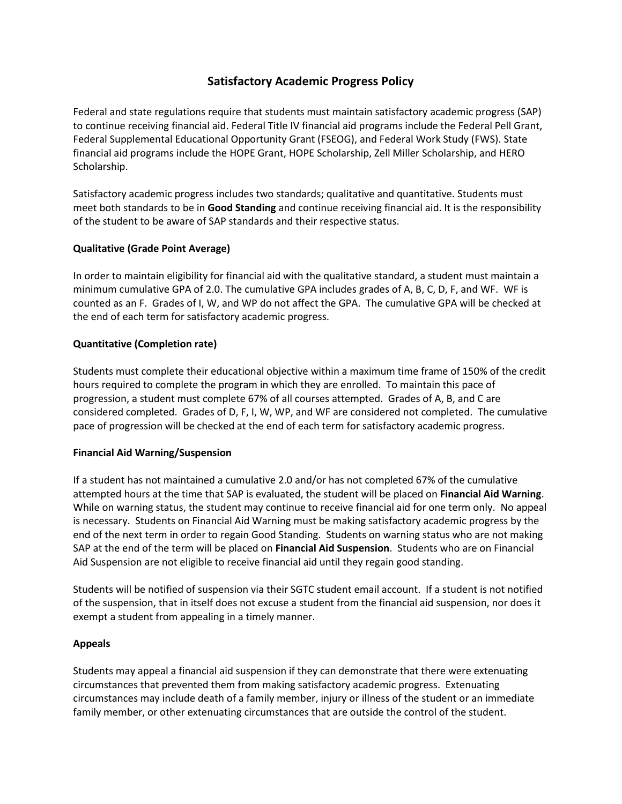# **Satisfactory Academic Progress Policy**

Federal and state regulations require that students must maintain satisfactory academic progress (SAP) to continue receiving financial aid. Federal Title IV financial aid programs include the Federal Pell Grant, Federal Supplemental Educational Opportunity Grant (FSEOG), and Federal Work Study (FWS). State financial aid programs include the HOPE Grant, HOPE Scholarship, Zell Miller Scholarship, and HERO Scholarship.

Satisfactory academic progress includes two standards; qualitative and quantitative. Students must meet both standards to be in **Good Standing** and continue receiving financial aid. It is the responsibility of the student to be aware of SAP standards and their respective status.

# **Qualitative (Grade Point Average)**

In order to maintain eligibility for financial aid with the qualitative standard, a student must maintain a minimum cumulative GPA of 2.0. The cumulative GPA includes grades of A, B, C, D, F, and WF. WF is counted as an F. Grades of I, W, and WP do not affect the GPA. The cumulative GPA will be checked at the end of each term for satisfactory academic progress.

# **Quantitative (Completion rate)**

Students must complete their educational objective within a maximum time frame of 150% of the credit hours required to complete the program in which they are enrolled. To maintain this pace of progression, a student must complete 67% of all courses attempted. Grades of A, B, and C are considered completed. Grades of D, F, I, W, WP, and WF are considered not completed. The cumulative pace of progression will be checked at the end of each term for satisfactory academic progress.

## **Financial Aid Warning/Suspension**

If a student has not maintained a cumulative 2.0 and/or has not completed 67% of the cumulative attempted hours at the time that SAP is evaluated, the student will be placed on **Financial Aid Warning**. While on warning status, the student may continue to receive financial aid for one term only. No appeal is necessary. Students on Financial Aid Warning must be making satisfactory academic progress by the end of the next term in order to regain Good Standing. Students on warning status who are not making SAP at the end of the term will be placed on **Financial Aid Suspension**. Students who are on Financial Aid Suspension are not eligible to receive financial aid until they regain good standing.

Students will be notified of suspension via their SGTC student email account. If a student is not notified of the suspension, that in itself does not excuse a student from the financial aid suspension, nor does it exempt a student from appealing in a timely manner.

## **Appeals**

Students may appeal a financial aid suspension if they can demonstrate that there were extenuating circumstances that prevented them from making satisfactory academic progress. Extenuating circumstances may include death of a family member, injury or illness of the student or an immediate family member, or other extenuating circumstances that are outside the control of the student.